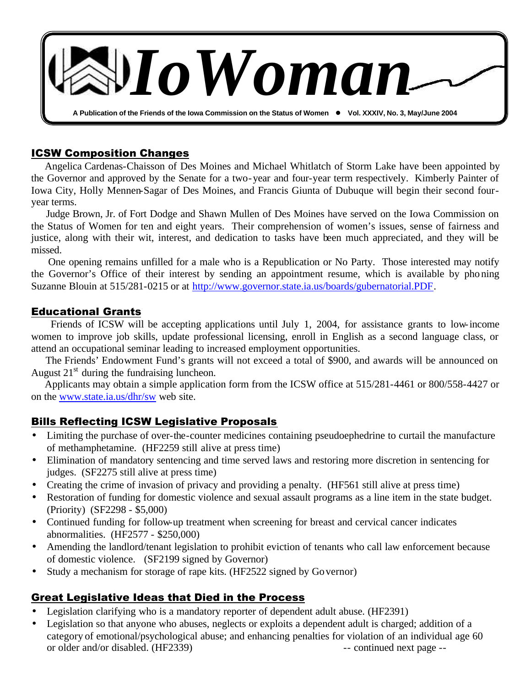

## ICSW Composition Changes

 Angelica Cardenas-Chaisson of Des Moines and Michael Whitlatch of Storm Lake have been appointed by the Governor and approved by the Senate for a two-year and four-year term respectively. Kimberly Painter of Iowa City, Holly Mennen-Sagar of Des Moines, and Francis Giunta of Dubuque will begin their second fouryear terms.

 Judge Brown, Jr. of Fort Dodge and Shawn Mullen of Des Moines have served on the Iowa Commission on the Status of Women for ten and eight years. Their comprehension of women's issues, sense of fairness and justice, along with their wit, interest, and dedication to tasks have been much appreciated, and they will be missed.

 One opening remains unfilled for a male who is a Republication or No Party. Those interested may notify the Governor's Office of their interest by sending an appointment resume, which is available by phoning Suzanne Blouin at 515/281-0215 or at http://www.governor.state.ia.us/boards/gubernatorial.PDF.

#### Educational Grants

 Friends of ICSW will be accepting applications until July 1, 2004, for assistance grants to low-income women to improve job skills, update professional licensing, enroll in English as a second language class, or attend an occupational seminar leading to increased employment opportunities.

 The Friends' Endowment Fund's grants will not exceed a total of \$900, and awards will be announced on August  $21<sup>st</sup>$  during the fundraising luncheon.

 Applicants may obtain a simple application form from the ICSW office at 515/281-4461 or 800/558-4427 or on the www.state.ia.us/dhr/sw web site.

## Bills Reflecting ICSW Legislative Proposals

- Limiting the purchase of over-the-counter medicines containing pseudoephedrine to curtail the manufacture of methamphetamine. (HF2259 still alive at press time)
- Elimination of mandatory sentencing and time served laws and restoring more discretion in sentencing for judges. (SF2275 still alive at press time)
- Creating the crime of invasion of privacy and providing a penalty. (HF561 still alive at press time)
- Restoration of funding for domestic violence and sexual assault programs as a line item in the state budget. (Priority) (SF2298 - \$5,000)
- Continued funding for follow-up treatment when screening for breast and cervical cancer indicates abnormalities. (HF2577 - \$250,000)
- Amending the landlord/tenant legislation to prohibit eviction of tenants who call law enforcement because of domestic violence. (SF2199 signed by Governor)
- Study a mechanism for storage of rape kits. (HF2522 signed by Governor)

## Great Legislative Ideas that Died in the Process

- Legislation clarifying who is a mandatory reporter of dependent adult abuse. (HF2391)
- Legislation so that anyone who abuses, neglects or exploits a dependent adult is charged; addition of a category of emotional/psychological abuse; and enhancing penalties for violation of an individual age 60 or older and/or disabled. (HF2339) -- continued next page --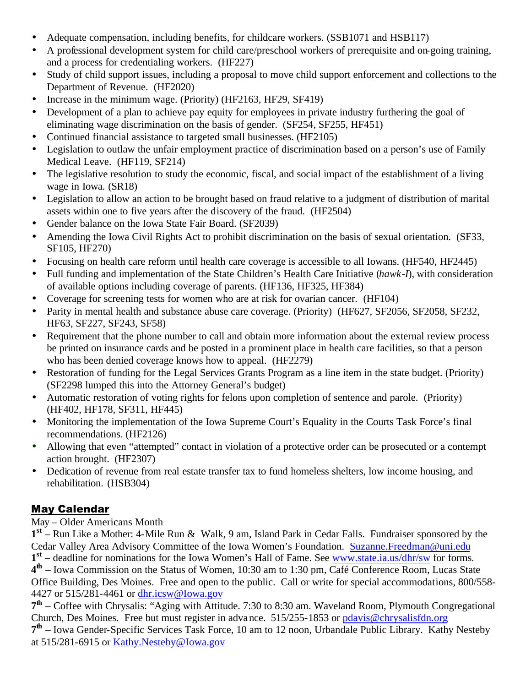- Adequate compensation, including benefits, for childcare workers. (SSB1071 and HSB117)
- A professional development system for child care/preschool workers of prerequisite and on-going training, and a process for credentialing workers. (HF227)
- Study of child support issues, including a proposal to move child support enforcement and collections to the Department of Revenue. (HF2020)
- Increase in the minimum wage. (Priority) (HF2163, HF29, SF419)
- Development of a plan to achieve pay equity for employees in private industry furthering the goal of eliminating wage discrimination on the basis of gender. (SF254, SF255, HF451)
- Continued financial assistance to targeted small businesses. (HF2105)
- Legislation to outlaw the unfair employment practice of discrimination based on a person's use of Family Medical Leave. (HF119, SF214)
- The legislative resolution to study the economic, fiscal, and social impact of the establishment of a living wage in Iowa. (SR18)
- Legislation to allow an action to be brought based on fraud relative to a judgment of distribution of marital assets within one to five years after the discovery of the fraud. (HF2504)
- Gender balance on the Iowa State Fair Board. (SF2039)
- Amending the Iowa Civil Rights Act to prohibit discrimination on the basis of sexual orientation. (SF33, SF105, HF270)
- Focusing on health care reform until health care coverage is accessible to all Iowans. (HF540, HF2445)
- Full funding and implementation of the State Children's Health Care Initiative (*hawk-I*), with consideration of available options including coverage of parents. (HF136, HF325, HF384)
- Coverage for screening tests for women who are at risk for ovarian cancer. (HF104)
- Parity in mental health and substance abuse care coverage. (Priority) (HF627, SF2056, SF2058, SF232, HF63, SF227, SF243, SF58)
- Requirement that the phone number to call and obtain more information about the external review process be printed on insurance cards and be posted in a prominent place in health care facilities, so that a person who has been denied coverage knows how to appeal. (HF2279)
- Restoration of funding for the Legal Services Grants Program as a line item in the state budget. (Priority) (SF2298 lumped this into the Attorney General's budget)
- Automatic restoration of voting rights for felons upon completion of sentence and parole. (Priority) (HF402, HF178, SF311, HF445)
- Monitoring the implementation of the Iowa Supreme Court's Equality in the Courts Task Force's final recommendations. (HF2126)
- Allowing that even "attempted" contact in violation of a protective order can be prosecuted or a contempt action brought. (HF2307)
- Dedication of revenue from real estate transfer tax to fund homeless shelters, low income housing, and rehabilitation. (HSB304)

# May Calendar

May – Older Americans Month

**1 st** – Run Like a Mother: 4-Mile Run & Walk, 9 am, Island Park in Cedar Falls. Fundraiser sponsored by the Cedar Valley Area Advisory Committee of the Iowa Women's Foundation. Suzanne.Freedman@uni.edu

1<sup>st</sup> – deadline for nominations for the Iowa Women's Hall of Fame. See www.state.ia.us/dhr/sw for forms. **4 th** – Iowa Commission on the Status of Women, 10:30 am to 1:30 pm, Café Conference Room, Lucas State

Office Building, Des Moines. Free and open to the public. Call or write for special accommodations, 800/558- 4427 or 515/281-4461 or dhr.icsw@Iowa.gov

7<sup>th</sup> – Coffee with Chrysalis: "Aging with Attitude. 7:30 to 8:30 am. Waveland Room, Plymouth Congregational Church, Des Moines. Free but must register in advance. 515/255-1853 or pdavis@chrysalisfdn.org **7 th** – Iowa Gender-Specific Services Task Force, 10 am to 12 noon, Urbandale Public Library. Kathy Nesteby at 515/281-6915 or Kathy.Nesteby@Iowa.gov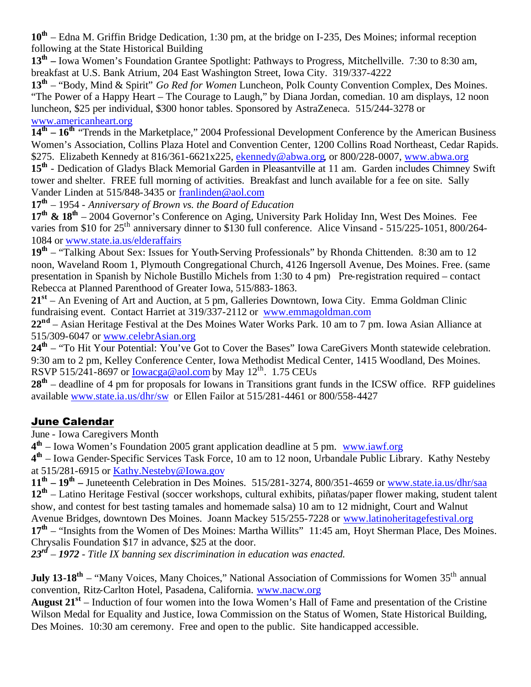**10th** – Edna M. Griffin Bridge Dedication, 1:30 pm, at the bridge on I-235, Des Moines; informal reception following at the State Historical Building

**13th –** Iowa Women's Foundation Grantee Spotlight: Pathways to Progress, Mitchellville. 7:30 to 8:30 am, breakfast at U.S. Bank Atrium, 204 East Washington Street, Iowa City. 319/337-4222

**13th** – "Body, Mind & Spirit" *Go Red for Women* Luncheon, Polk County Convention Complex, Des Moines. "The Power of a Happy Heart – The Courage to Laugh," by Diana Jordan, comedian. 10 am displays, 12 noon luncheon, \$25 per individual, \$300 honor tables. Sponsored by AstraZeneca. 515/244-3278 or www.americanheart.org

14<sup>th</sup> – 16<sup>th</sup> "Trends in the Marketplace," 2004 Professional Development Conference by the American Business Women's Association, Collins Plaza Hotel and Convention Center, 1200 Collins Road Northeast, Cedar Rapids. \$275. Elizabeth Kennedy at  $816/361-6621x225$ , ekennedy@abwa.org, or  $800/228-0007$ , www.abwa.org 15<sup>th</sup> - Dedication of Gladys Black Memorial Garden in Pleasantville at 11 am. Garden includes Chimney Swift tower and shelter. FREE full morning of activities. Breakfast and lunch available for a fee on site. Sally Vander Linden at 515/848-3435 or franlinden@aol.com

**17th** – 1954 - *Anniversary of Brown vs. the Board of Education*

**17th & 18th** – 2004 Governor's Conference on Aging, University Park Holiday Inn, West Des Moines. Fee varies from \$10 for 25<sup>th</sup> anniversary dinner to \$130 full conference. Alice Vinsand - 515/225-1051, 800/264-1084 or www.state.ia.us/elderaffairs

**19th** – "Talking About Sex: Issues for Youth-Serving Professionals" by Rhonda Chittenden. 8:30 am to 12 noon, Waveland Room 1, Plymouth Congregational Church, 4126 Ingersoll Avenue, Des Moines. Free. (same presentation in Spanish by Nichole Bustillo Michels from 1:30 to 4 pm) Pre-registration required – contact Rebecca at Planned Parenthood of Greater Iowa, 515/883-1863.

**21st** – An Evening of Art and Auction, at 5 pm, Galleries Downtown, Iowa City. Emma Goldman Clinic fundraising event. Contact Harriet at 319/337-2112 or www.emmagoldman.com

**22nd** – Asian Heritage Festival at the Des Moines Water Works Park. 10 am to 7 pm. Iowa Asian Alliance at 515/309-6047 or www.celebrAsian.org

24<sup>th</sup> – "To Hit Your Potential: You've Got to Cover the Bases" Iowa CareGivers Month statewide celebration. 9:30 am to 2 pm, Kelley Conference Center, Iowa Methodist Medical Center, 1415 Woodland, Des Moines. RSVP 515/241-8697 or <u>Iowacga@aol.com</u> by May 12<sup>th</sup>. 1.75 CEUs

28<sup>th</sup> – deadline of 4 pm for proposals for Iowans in Transitions grant funds in the ICSW office. RFP guidelines available www.state.ia.us/dhr/sw or Ellen Failor at 515/281-4461 or 800/558-4427

## June Calendar

June - Iowa Caregivers Month

**4 th** – Iowa Women's Foundation 2005 grant application deadline at 5 pm. www.iawf.org

4<sup>th</sup> – Iowa Gender-Specific Services Task Force, 10 am to 12 noon, Urbandale Public Library. Kathy Nesteby at 515/281-6915 or Kathy.Nesteby@Iowa.gov

**11th – 19th –** Juneteenth Celebration in Des Moines. 515/281-3274, 800/351-4659 or www.state.ia.us/dhr/saa **12th** – Latino Heritage Festival (soccer workshops, cultural exhibits, piñatas/paper flower making, student talent show, and contest for best tasting tamales and homemade salsa) 10 am to 12 midnight, Court and Walnut Avenue Bridges, downtown Des Moines. Joann Mackey 515/255-7228 or www.latinoheritagefestival.org 17<sup>th</sup> – "Insights from the Women of Des Moines: Martha Willits" 11:45 am, Hoyt Sherman Place, Des Moines. Chrysalis Foundation \$17 in advance, \$25 at the door.

*23rd – 1972 - Title IX banning sex discrimination in education was enacted.*

**July 13-18<sup>th</sup>** – "Many Voices, Many Choices," National Association of Commissions for Women 35<sup>th</sup> annual convention, Ritz-Carlton Hotel, Pasadena, California. www.nacw.org

**August 21st** – Induction of four women into the Iowa Women's Hall of Fame and presentation of the Cristine Wilson Medal for Equality and Justice, Iowa Commission on the Status of Women, State Historical Building, Des Moines. 10:30 am ceremony. Free and open to the public. Site handicapped accessible.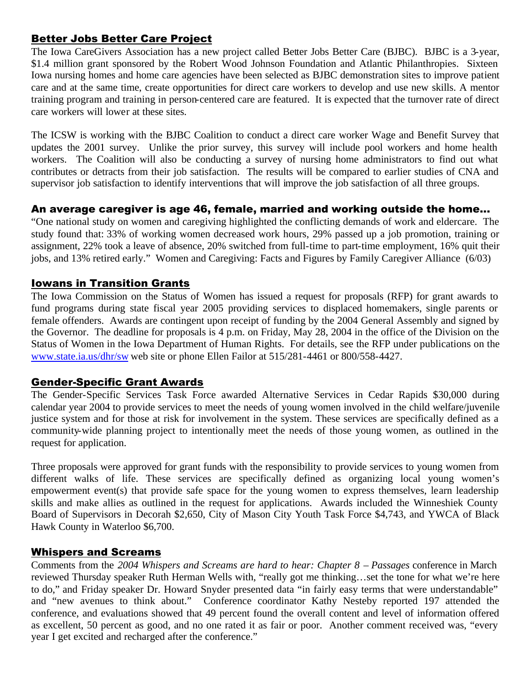## Better Jobs Better Care Project

The Iowa CareGivers Association has a new project called Better Jobs Better Care (BJBC). BJBC is a 3-year, \$1.4 million grant sponsored by the Robert Wood Johnson Foundation and Atlantic Philanthropies. Sixteen Iowa nursing homes and home care agencies have been selected as BJBC demonstration sites to improve patient care and at the same time, create opportunities for direct care workers to develop and use new skills. A mentor training program and training in person-centered care are featured. It is expected that the turnover rate of direct care workers will lower at these sites.

The ICSW is working with the BJBC Coalition to conduct a direct care worker Wage and Benefit Survey that updates the 2001 survey. Unlike the prior survey, this survey will include pool workers and home health workers. The Coalition will also be conducting a survey of nursing home administrators to find out what contributes or detracts from their job satisfaction. The results will be compared to earlier studies of CNA and supervisor job satisfaction to identify interventions that will improve the job satisfaction of all three groups.

#### An average caregiver is age 46, female, married and working outside the home...

"One national study on women and caregiving highlighted the conflicting demands of work and eldercare. The study found that: 33% of working women decreased work hours, 29% passed up a job promotion, training or assignment, 22% took a leave of absence, 20% switched from full-time to part-time employment, 16% quit their jobs, and 13% retired early." Women and Caregiving: Facts and Figures by Family Caregiver Alliance (6/03)

#### Iowans in Transition Grants

The Iowa Commission on the Status of Women has issued a request for proposals (RFP) for grant awards to fund programs during state fiscal year 2005 providing services to displaced homemakers, single parents or female offenders. Awards are contingent upon receipt of funding by the 2004 General Assembly and signed by the Governor. The deadline for proposals is 4 p.m. on Friday, May 28, 2004 in the office of the Division on the Status of Women in the Iowa Department of Human Rights. For details, see the RFP under publications on the www.state.ia.us/dhr/sw web site or phone Ellen Failor at 515/281-4461 or 800/558-4427.

#### Gender-Specific Grant Awards

The Gender-Specific Services Task Force awarded Alternative Services in Cedar Rapids \$30,000 during calendar year 2004 to provide services to meet the needs of young women involved in the child welfare/juvenile justice system and for those at risk for involvement in the system. These services are specifically defined as a community-wide planning project to intentionally meet the needs of those young women, as outlined in the request for application.

Three proposals were approved for grant funds with the responsibility to provide services to young women from different walks of life. These services are specifically defined as organizing local young women's empowerment event(s) that provide safe space for the young women to express themselves, learn leadership skills and make allies as outlined in the request for applications. Awards included the Winneshiek County Board of Supervisors in Decorah \$2,650, City of Mason City Youth Task Force \$4,743, and YWCA of Black Hawk County in Waterloo \$6,700.

## Whispers and Screams

Comments from the *2004 Whispers and Screams are hard to hear: Chapter 8 – Passages* conference in March reviewed Thursday speaker Ruth Herman Wells with, "really got me thinking…set the tone for what we're here to do," and Friday speaker Dr. Howard Snyder presented data "in fairly easy terms that were understandable" and "new avenues to think about." Conference coordinator Kathy Nesteby reported 197 attended the conference, and evaluations showed that 49 percent found the overall content and level of information offered as excellent, 50 percent as good, and no one rated it as fair or poor. Another comment received was, "every year I get excited and recharged after the conference."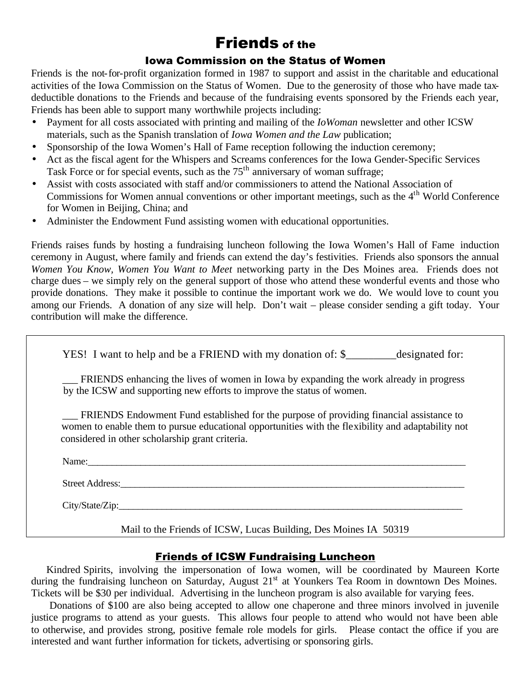# Friends of the

#### Iowa Commission on the Status of Women

Friends is the not-for-profit organization formed in 1987 to support and assist in the charitable and educational activities of the Iowa Commission on the Status of Women. Due to the generosity of those who have made taxdeductible donations to the Friends and because of the fundraising events sponsored by the Friends each year, Friends has been able to support many worthwhile projects including:

- Payment for all costs associated with printing and mailing of the *IoWoman* newsletter and other ICSW materials, such as the Spanish translation of *Iowa Women and the Law* publication;
- Sponsorship of the Iowa Women's Hall of Fame reception following the induction ceremony;
- Act as the fiscal agent for the Whispers and Screams conferences for the Iowa Gender-Specific Services Task Force or for special events, such as the  $75<sup>th</sup>$  anniversary of woman suffrage;
- Assist with costs associated with staff and/or commissioners to attend the National Association of Commissions for Women annual conventions or other important meetings, such as the 4<sup>th</sup> World Conference for Women in Beijing, China; and
- Administer the Endowment Fund assisting women with educational opportunities.

Friends raises funds by hosting a fundraising luncheon following the Iowa Women's Hall of Fame induction ceremony in August, where family and friends can extend the day's festivities. Friends also sponsors the annual *Women You Know, Women You Want to Meet* networking party in the Des Moines area. Friends does not charge dues – we simply rely on the general support of those who attend these wonderful events and those who provide donations. They make it possible to continue the important work we do. We would love to count you among our Friends. A donation of any size will help. Don't wait – please consider sending a gift today. Your contribution will make the difference.

YES! I want to help and be a FRIEND with my donation of: \$ designated for:

FRIENDS enhancing the lives of women in Iowa by expanding the work already in progress by the ICSW and supporting new efforts to improve the status of women.

\_\_\_ FRIENDS Endowment Fund established for the purpose of providing financial assistance to women to enable them to pursue educational opportunities with the flexibility and adaptability not considered in other scholarship grant criteria.

Name:\_\_\_\_\_\_\_\_\_\_\_\_\_\_\_\_\_\_\_\_\_\_\_\_\_\_\_\_\_\_\_\_\_\_\_\_\_\_\_\_\_\_\_\_\_\_\_\_\_\_\_\_\_\_\_\_\_\_\_\_\_\_\_\_\_\_\_\_\_\_\_\_\_\_\_\_\_\_\_

Street Address:

City/State/Zip:

Mail to the Friends of ICSW, Lucas Building, Des Moines IA 50319

## Friends of ICSW Fundraising Luncheon

 Kindred Spirits, involving the impersonation of Iowa women, will be coordinated by Maureen Korte during the fundraising luncheon on Saturday, August 21<sup>st</sup> at Younkers Tea Room in downtown Des Moines. Tickets will be \$30 per individual. Advertising in the luncheon program is also available for varying fees.

 Donations of \$100 are also being accepted to allow one chaperone and three minors involved in juvenile justice programs to attend as your guests. This allows four people to attend who would not have been able to otherwise, and provides strong, positive female role models for girls. Please contact the office if you are interested and want further information for tickets, advertising or sponsoring girls.